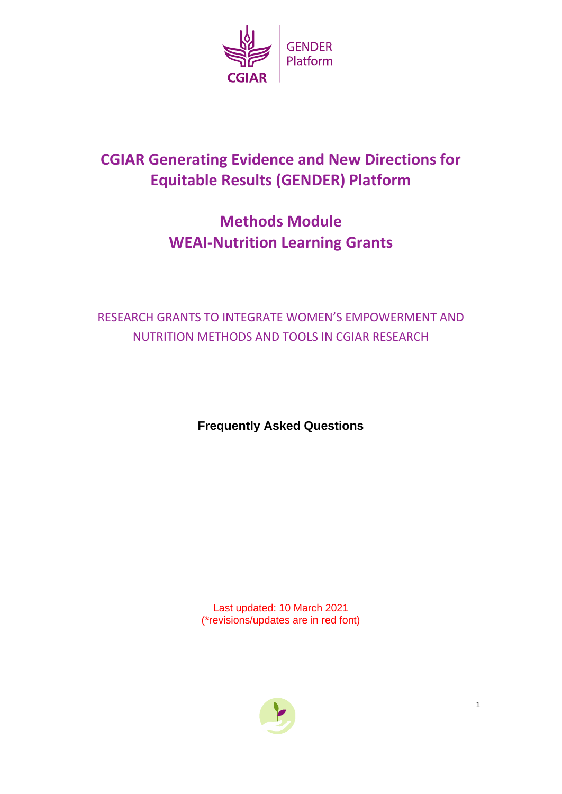

# **CGIAR Generating Evidence and New Directions for Equitable Results (GENDER) Platform**

# **Methods Module WEAI-Nutrition Learning Grants**

# RESEARCH GRANTS TO INTEGRATE WOMEN'S EMPOWERMENT AND NUTRITION METHODS AND TOOLS IN CGIAR RESEARCH

**Frequently Asked Questions**

Last updated: 10 March 2021 (\*revisions/updates are in red font)

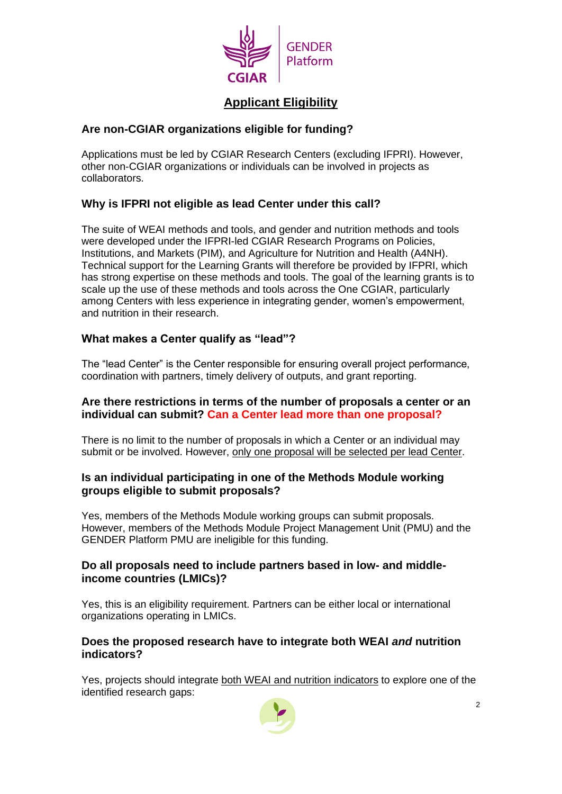

# **Applicant Eligibility**

## **Are non-CGIAR organizations eligible for funding?**

Applications must be led by CGIAR Research Centers (excluding IFPRI). However, other non-CGIAR organizations or individuals can be involved in projects as collaborators.

## **Why is IFPRI not eligible as lead Center under this call?**

The suite of WEAI methods and tools, and gender and nutrition methods and tools were developed under the IFPRI-led CGIAR Research Programs on Policies, Institutions, and Markets (PIM), and Agriculture for Nutrition and Health (A4NH). Technical support for the Learning Grants will therefore be provided by IFPRI, which has strong expertise on these methods and tools. The goal of the learning grants is to scale up the use of these methods and tools across the One CGIAR, particularly among Centers with less experience in integrating gender, women's empowerment, and nutrition in their research.

## **What makes a Center qualify as "lead"?**

The "lead Center" is the Center responsible for ensuring overall project performance, coordination with partners, timely delivery of outputs, and grant reporting.

#### **Are there restrictions in terms of the number of proposals a center or an individual can submit? Can a Center lead more than one proposal?**

There is no limit to the number of proposals in which a Center or an individual may submit or be involved. However, only one proposal will be selected per lead Center.

#### **Is an individual participating in one of the Methods Module working groups eligible to submit proposals?**

Yes, members of the Methods Module working groups can submit proposals. However, members of the Methods Module Project Management Unit (PMU) and the GENDER Platform PMU are ineligible for this funding.

## **Do all proposals need to include partners based in low- and middleincome countries (LMICs)?**

Yes, this is an eligibility requirement. Partners can be either local or international organizations operating in LMICs.

#### **Does the proposed research have to integrate both WEAI** *and* **nutrition indicators?**

Yes, projects should integrate both WEAI and nutrition indicators to explore one of the identified research gaps:

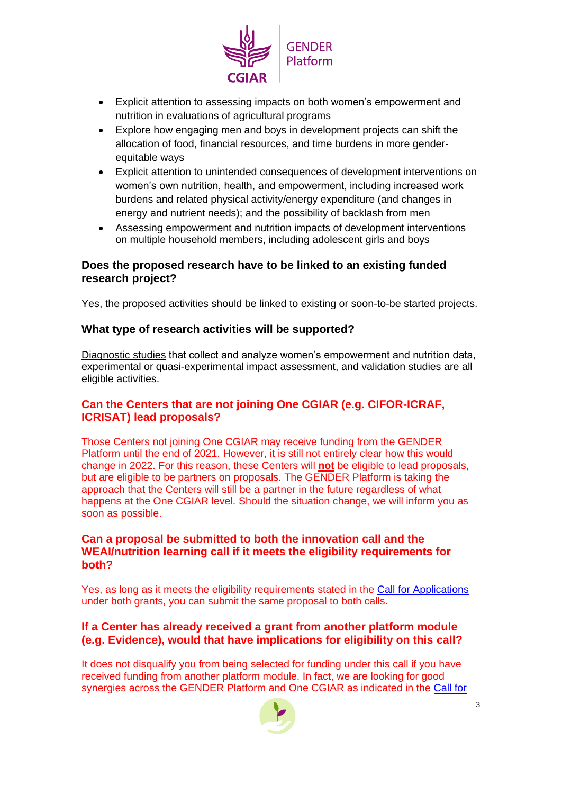

- Explicit attention to assessing impacts on both women's empowerment and nutrition in evaluations of agricultural programs
- Explore how engaging men and boys in development projects can shift the allocation of food, financial resources, and time burdens in more genderequitable ways
- Explicit attention to unintended consequences of development interventions on women's own nutrition, health, and empowerment, including increased work burdens and related physical activity/energy expenditure (and changes in energy and nutrient needs); and the possibility of backlash from men
- Assessing empowerment and nutrition impacts of development interventions on multiple household members, including adolescent girls and boys

### **Does the proposed research have to be linked to an existing funded research project?**

Yes, the proposed activities should be linked to existing or soon-to-be started projects.

#### **What type of research activities will be supported?**

Diagnostic studies that collect and analyze women's empowerment and nutrition data, experimental or quasi-experimental impact assessment, and validation studies are all eligible activities.

## **Can the Centers that are not joining One CGIAR (e.g. CIFOR-ICRAF, ICRISAT) lead proposals?**

Those Centers not joining One CGIAR may receive funding from the GENDER Platform until the end of 2021. However, it is still not entirely clear how this would change in 2022. For this reason, these Centers will **not** be eligible to lead proposals, but are eligible to be partners on proposals. The GENDER Platform is taking the approach that the Centers will still be a partner in the future regardless of what happens at the One CGIAR level. Should the situation change, we will inform you as soon as possible.

#### **Can a proposal be submitted to both the innovation call and the WEAI/nutrition learning call if it meets the eligibility requirements for both?**

Yes, as long as it meets the eligibility requirements stated in the [Call for Applications](https://gender.cgiar.org/news-events/research-grants-integrate-womens-empowerment-and-nutrition-methods-and-tools-cgiar) under both grants, you can submit the same proposal to both calls.

## **If a Center has already received a grant from another platform module (e.g. Evidence), would that have implications for eligibility on this call?**

It does not disqualify you from being selected for funding under this call if you have received funding from another platform module. In fact, we are looking for good synergies across the GENDER Platform and One CGIAR as indicated in the [Call for](https://gender.cgiar.org/news-events/research-grants-integrate-womens-empowerment-and-nutrition-methods-and-tools-cgiar) 

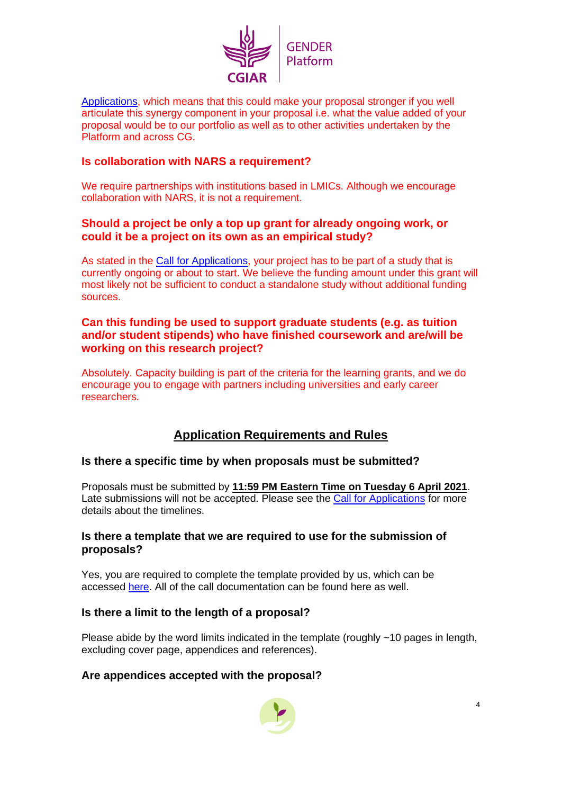

[Applications,](https://gender.cgiar.org/news-events/research-grants-integrate-womens-empowerment-and-nutrition-methods-and-tools-cgiar) which means that this could make your proposal stronger if you well articulate this synergy component in your proposal i.e. what the value added of your proposal would be to our portfolio as well as to other activities undertaken by the Platform and across CG.

## **Is collaboration with NARS a requirement?**

We require partnerships with institutions based in LMICs. Although we encourage collaboration with NARS, it is not a requirement.

## **Should a project be only a top up grant for already ongoing work, or could it be a project on its own as an empirical study?**

As stated in the [Call for Applications,](https://gender.cgiar.org/news-events/research-grants-integrate-womens-empowerment-and-nutrition-methods-and-tools-cgiar) your project has to be part of a study that is currently ongoing or about to start. We believe the funding amount under this grant will most likely not be sufficient to conduct a standalone study without additional funding sources.

## **Can this funding be used to support graduate students (e.g. as tuition and/or student stipends) who have finished coursework and are/will be working on this research project?**

Absolutely. Capacity building is part of the criteria for the learning grants, and we do encourage you to engage with partners including universities and early career researchers.

# **Application Requirements and Rules**

## **Is there a specific time by when proposals must be submitted?**

Proposals must be submitted by **11:59 PM Eastern Time on Tuesday 6 April 2021**. Late submissions will not be accepted. Please see the [Call for Applications](https://gender.cgiar.org/news-events/research-grants-integrate-womens-empowerment-and-nutrition-methods-and-tools-cgiar) for more details about the timelines.

#### **Is there a template that we are required to use for the submission of proposals?**

Yes, you are required to complete the template provided by us, which can be accessed [here.](https://gender.cgiar.org/news-events/research-grants-integrate-womens-empowerment-and-nutrition-methods-and-tools-cgiar) All of the call documentation can be found here as well.

## **Is there a limit to the length of a proposal?**

Please abide by the word limits indicated in the template (roughly  $\sim$  10 pages in length, excluding cover page, appendices and references).

## **Are appendices accepted with the proposal?**

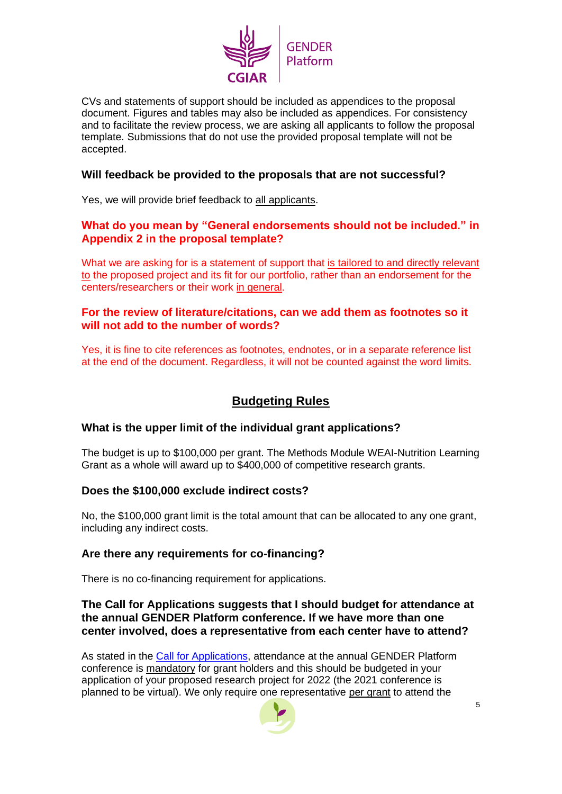

CVs and statements of support should be included as appendices to the proposal document. Figures and tables may also be included as appendices. For consistency and to facilitate the review process, we are asking all applicants to follow the proposal template. Submissions that do not use the provided proposal template will not be accepted.

## **Will feedback be provided to the proposals that are not successful?**

Yes, we will provide brief feedback to all applicants.

## **What do you mean by "General endorsements should not be included." in Appendix 2 in the proposal template?**

What we are asking for is a statement of support that is tailored to and directly relevant to the proposed project and its fit for our portfolio, rather than an endorsement for the centers/researchers or their work in general.

## **For the review of literature/citations, can we add them as footnotes so it will not add to the number of words?**

Yes, it is fine to cite references as footnotes, endnotes, or in a separate reference list at the end of the document. Regardless, it will not be counted against the word limits.

## **Budgeting Rules**

#### **What is the upper limit of the individual grant applications?**

The budget is up to \$100,000 per grant. The Methods Module WEAI-Nutrition Learning Grant as a whole will award up to \$400,000 of competitive research grants.

## **Does the \$100,000 exclude indirect costs?**

No, the \$100,000 grant limit is the total amount that can be allocated to any one grant, including any indirect costs.

## **Are there any requirements for co-financing?**

There is no co-financing requirement for applications.

#### **The Call for Applications suggests that I should budget for attendance at the annual GENDER Platform conference. If we have more than one center involved, does a representative from each center have to attend?**

As stated in the [Call for Applications,](https://gender.cgiar.org/news-events/research-grants-integrate-womens-empowerment-and-nutrition-methods-and-tools-cgiar) attendance at the annual GENDER Platform conference is mandatory for grant holders and this should be budgeted in your application of your proposed research project for 2022 (the 2021 conference is planned to be virtual). We only require one representative per grant to attend the

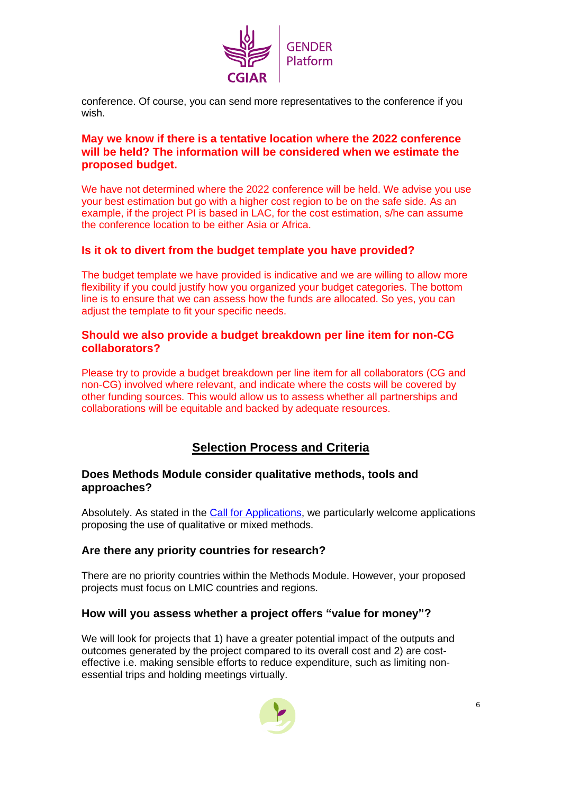

conference. Of course, you can send more representatives to the conference if you wish.

## **May we know if there is a tentative location where the 2022 conference will be held? The information will be considered when we estimate the proposed budget.**

We have not determined where the 2022 conference will be held. We advise you use your best estimation but go with a higher cost region to be on the safe side. As an example, if the project PI is based in LAC, for the cost estimation, s/he can assume the conference location to be either Asia or Africa.

#### **Is it ok to divert from the budget template you have provided?**

The budget template we have provided is indicative and we are willing to allow more flexibility if you could justify how you organized your budget categories. The bottom line is to ensure that we can assess how the funds are allocated. So yes, you can adjust the template to fit your specific needs.

### **Should we also provide a budget breakdown per line item for non-CG collaborators?**

Please try to provide a budget breakdown per line item for all collaborators (CG and non-CG) involved where relevant, and indicate where the costs will be covered by other funding sources. This would allow us to assess whether all partnerships and collaborations will be equitable and backed by adequate resources.

## **Selection Process and Criteria**

#### **Does Methods Module consider qualitative methods, tools and approaches?**

Absolutely. As stated in the [Call for Applications,](https://gender.cgiar.org/news-events/research-grants-integrate-womens-empowerment-and-nutrition-methods-and-tools-cgiar) we particularly welcome applications proposing the use of qualitative or mixed methods.

## **Are there any priority countries for research?**

There are no priority countries within the Methods Module. However, your proposed projects must focus on LMIC countries and regions.

#### **How will you assess whether a project offers "value for money"?**

We will look for projects that 1) have a greater potential impact of the outputs and outcomes generated by the project compared to its overall cost and 2) are costeffective i.e. making sensible efforts to reduce expenditure, such as limiting nonessential trips and holding meetings virtually.

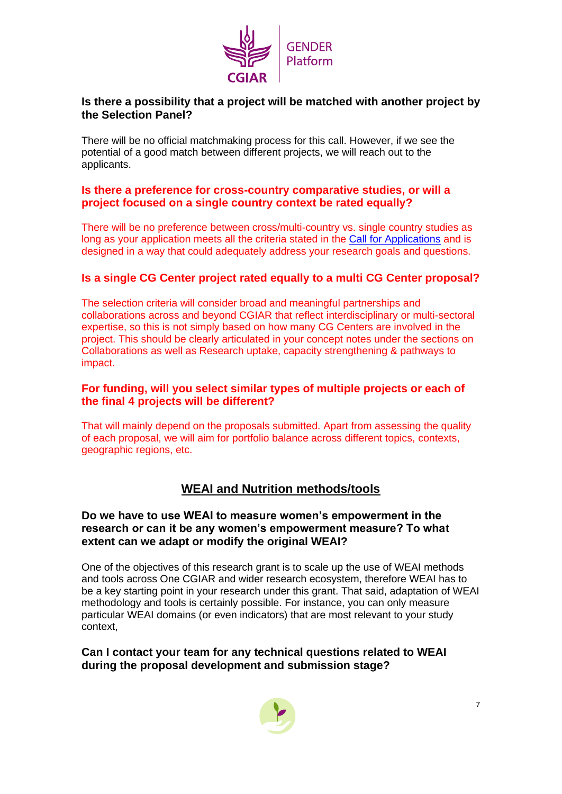

## **Is there a possibility that a project will be matched with another project by the Selection Panel?**

There will be no official matchmaking process for this call. However, if we see the potential of a good match between different projects, we will reach out to the applicants.

## **Is there a preference for cross-country comparative studies, or will a project focused on a single country context be rated equally?**

There will be no preference between cross/multi-country vs. single country studies as long as your application meets all the criteria stated in the [Call for Applications](https://gender.cgiar.org/news-events/research-grants-integrate-womens-empowerment-and-nutrition-methods-and-tools-cgiar) and is designed in a way that could adequately address your research goals and questions.

## **Is a single CG Center project rated equally to a multi CG Center proposal?**

The selection criteria will consider broad and meaningful partnerships and collaborations across and beyond CGIAR that reflect interdisciplinary or multi-sectoral expertise, so this is not simply based on how many CG Centers are involved in the project. This should be clearly articulated in your concept notes under the sections on Collaborations as well as Research uptake, capacity strengthening & pathways to impact.

#### **For funding, will you select similar types of multiple projects or each of the final 4 projects will be different?**

That will mainly depend on the proposals submitted. Apart from assessing the quality of each proposal, we will aim for portfolio balance across different topics, contexts, geographic regions, etc.

## **WEAI and Nutrition methods/tools**

#### **Do we have to use WEAI to measure women's empowerment in the research or can it be any women's empowerment measure? To what extent can we adapt or modify the original WEAI?**

One of the objectives of this research grant is to scale up the use of WEAI methods and tools across One CGIAR and wider research ecosystem, therefore WEAI has to be a key starting point in your research under this grant. That said, adaptation of WEAI methodology and tools is certainly possible. For instance, you can only measure particular WEAI domains (or even indicators) that are most relevant to your study context,

**Can I contact your team for any technical questions related to WEAI during the proposal development and submission stage?**

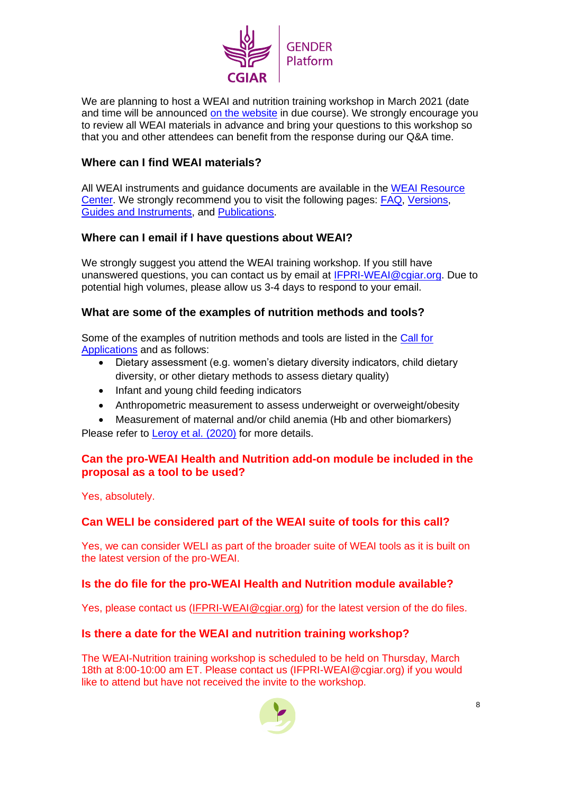

We are planning to host a WEAI and nutrition training workshop in March 2021 (date and time will be announced [on the website](https://gender.cgiar.org/news-events/research-grants-integrate-womens-empowerment-and-nutrition-methods-and-tools-cgiar) in due course). We strongly encourage you to review all WEAI materials in advance and bring your questions to this workshop so that you and other attendees can benefit from the response during our Q&A time.

## **Where can I find WEAI materials?**

All WEAI instruments and guidance documents are available in the [WEAI Resource](https://weai.ifpri.info/)  [Center.](https://weai.ifpri.info/) We strongly recommend you to visit the following pages: [FAQ,](https://weai.ifpri.info/weai-resource-center/faqs-2/) [Versions,](https://weai.ifpri.info/versions/) [Guides and Instruments,](https://weai.ifpri.info/weai-resource-center/guides-and-instruments/) and [Publications.](https://weai.ifpri.info/resources/publications/)

## **Where can I email if I have questions about WEAI?**

We strongly suggest you attend the WEAI training workshop. If you still have unanswered questions, you can contact us by email at [IFPRI-WEAI@cgiar.org.](mailto:IFPRI-WEAI@cgiar.org) Due to potential high volumes, please allow us 3-4 days to respond to your email.

#### **What are some of the examples of nutrition methods and tools?**

Some of the examples of nutrition methods and tools are listed in the [Call for](https://gender.cgiar.org/news-events/research-grants-integrate-womens-empowerment-and-nutrition-methods-and-tools-cgiar)  [Applications](https://gender.cgiar.org/news-events/research-grants-integrate-womens-empowerment-and-nutrition-methods-and-tools-cgiar) and as follows:

- Dietary assessment (e.g. women's dietary diversity indicators, child dietary diversity, or other dietary methods to assess dietary quality)
- Infant and young child feeding indicators
- Anthropometric measurement to assess underweight or overweight/obesity
- Measurement of maternal and/or child anemia (Hb and other biomarkers)

Please refer to [Leroy et al. \(2020\)](https://doi.org/10.2499/p15738coll2.133954) for more details.

## **Can the pro-WEAI Health and Nutrition add-on module be included in the proposal as a tool to be used?**

Yes, absolutely.

## **Can WELI be considered part of the WEAI suite of tools for this call?**

Yes, we can consider WELI as part of the broader suite of WEAI tools as it is built on the latest version of the pro-WEAI.

## **Is the do file for the pro-WEAI Health and Nutrition module available?**

Yes, please contact us [\(IFPRI-WEAI@cgiar.org\)](mailto:IFPRI-WEAI@cgiar.org) for the latest version of the do files.

## **Is there a date for the WEAI and nutrition training workshop?**

The WEAI-Nutrition training workshop is scheduled to be held on Thursday, March 18th at 8:00-10:00 am ET. Please contact us (IFPRI-WEAI@cgiar.org) if you would like to attend but have not received the invite to the workshop.